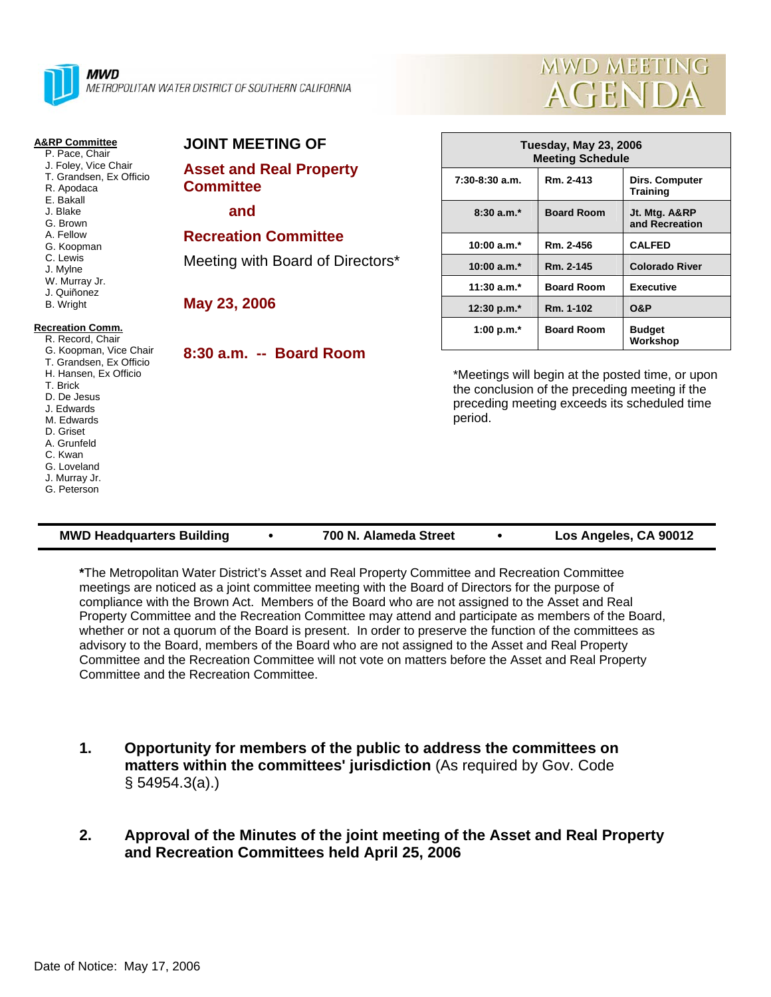

**Committee** 

**May 23, 2006** 

 **and** 

**JOINT MEETING OF**

**Asset and Real Property**

**Recreation Committee** 

Meeting with Board of Directors\*



#### **A&RP Committee**

- P. Pace, Chair J. Foley, Vice Chair
- T. Grandsen, Ex Officio
- R. Apodaca
- E. Bakall
- J. Blake
- G. Brown A. Fellow
- G. Koopman
- C. Lewis
- J. Mylne
- W. Murray Jr.
- J. Quiñonez

## B. Wright

#### **Recreation Comm.**

 R. Record, Chair G. Koopman, Vice Chair T. Grandsen, Ex Officio H. Hansen, Ex Officio T. Brick D. De Jesus J. Edwards M. Edwards D. Griset A. Grunfeld C. Kwan G. Loveland J. Murray Jr. G. Peterson

# **8:30 a.m. -- Board Room**

### **Tuesday, May 23, 2006 Meeting Schedule 7:30-8:30 a.m. Rm. 2-413 Dirs. Computer Training 8:30 a.m.\* Board Room Jt. Mtg. A&RP and Recreation 10:00 a.m.\* Rm. 2-456 CALFED 10:00 a.m.\* Rm. 2-145 Colorado River 11:30 a.m.\* Board Room Executive 12:30 p.m.\* Rm. 1-102 O&P** 1:00 p.m.\* **Board Room** Budget **Workshop**

\*Meetings will begin at the posted time, or upon the conclusion of the preceding meeting if the preceding meeting exceeds its scheduled time period.

| <b>MWD Headquarters Building</b> |  | 700 N. Alameda Street |  | Los Angeles, CA 90012 |
|----------------------------------|--|-----------------------|--|-----------------------|
|----------------------------------|--|-----------------------|--|-----------------------|

**\***The Metropolitan Water District's Asset and Real Property Committee and Recreation Committee meetings are noticed as a joint committee meeting with the Board of Directors for the purpose of compliance with the Brown Act. Members of the Board who are not assigned to the Asset and Real Property Committee and the Recreation Committee may attend and participate as members of the Board, whether or not a quorum of the Board is present. In order to preserve the function of the committees as advisory to the Board, members of the Board who are not assigned to the Asset and Real Property Committee and the Recreation Committee will not vote on matters before the Asset and Real Property Committee and the Recreation Committee.

**1. Opportunity for members of the public to address the committees on matters within the committees' jurisdiction** (As required by Gov. Code § 54954.3(a).)

#### **2. Approval of the Minutes of the joint meeting of the Asset and Real Property and Recreation Committees held April 25, 2006**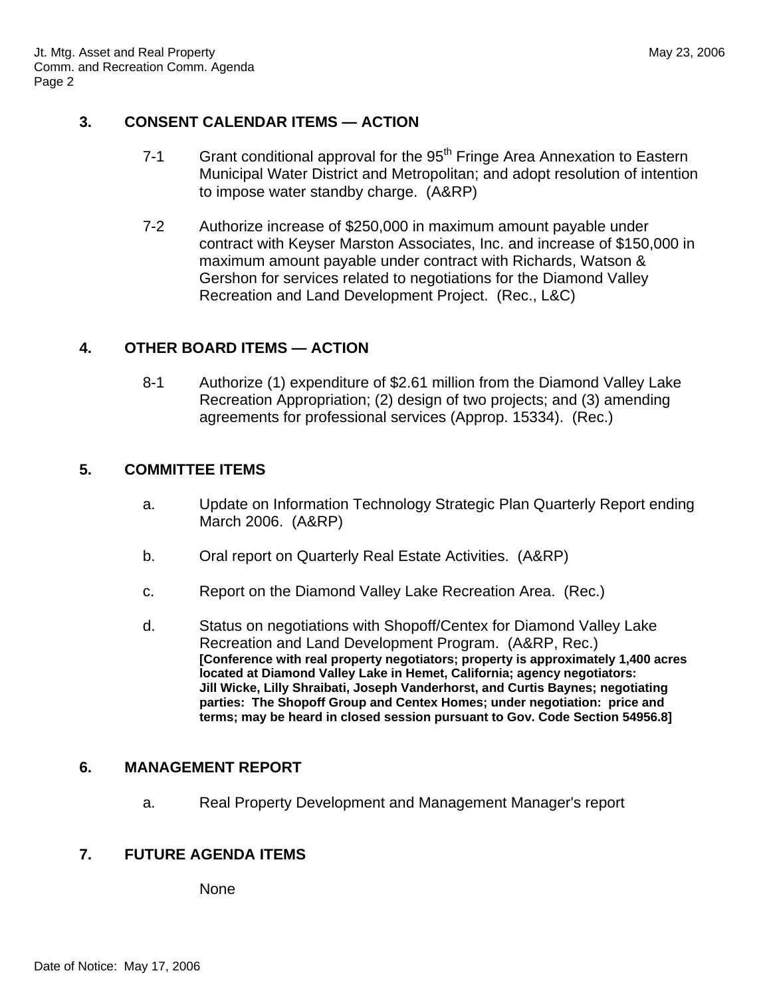#### **3. CONSENT CALENDAR ITEMS — ACTION**

- 7-1 Grant conditional approval for the 95<sup>th</sup> Fringe Area Annexation to Eastern Municipal Water District and Metropolitan; and adopt resolution of intention to impose water standby charge. (A&RP)
- 7-2 Authorize increase of \$250,000 in maximum amount payable under contract with Keyser Marston Associates, Inc. and increase of \$150,000 in maximum amount payable under contract with Richards, Watson & Gershon for services related to negotiations for the Diamond Valley Recreation and Land Development Project. (Rec., L&C)

#### **4. OTHER BOARD ITEMS — ACTION**

8-1 Authorize (1) expenditure of \$2.61 million from the Diamond Valley Lake Recreation Appropriation; (2) design of two projects; and (3) amending agreements for professional services (Approp. 15334). (Rec.)

#### **5. COMMITTEE ITEMS**

- a. Update on Information Technology Strategic Plan Quarterly Report ending March 2006. (A&RP)
- b. Oral report on Quarterly Real Estate Activities. (A&RP)
- c. Report on the Diamond Valley Lake Recreation Area. (Rec.)
- d. Status on negotiations with Shopoff/Centex for Diamond Valley Lake Recreation and Land Development Program. (A&RP, Rec.) **[Conference with real property negotiators; property is approximately 1,400 acres located at Diamond Valley Lake in Hemet, California; agency negotiators: Jill Wicke, Lilly Shraibati, Joseph Vanderhorst, and Curtis Baynes; negotiating parties: The Shopoff Group and Centex Homes; under negotiation: price and terms; may be heard in closed session pursuant to Gov. Code Section 54956.8]**

#### **6. MANAGEMENT REPORT**

a. Real Property Development and Management Manager's report

#### **7. FUTURE AGENDA ITEMS**

None